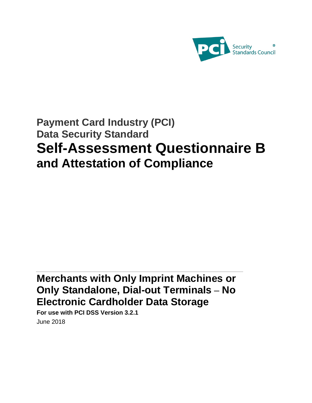

# **Payment Card Industry (PCI) Data Security Standard Self-Assessment Questionnaire B and Attestation of Compliance**

# **Merchants with Only Imprint Machines or Only Standalone, Dial-out Terminals – No Electronic Cardholder Data Storage**

**For use with PCI DSS Version 3.2.1** June 2018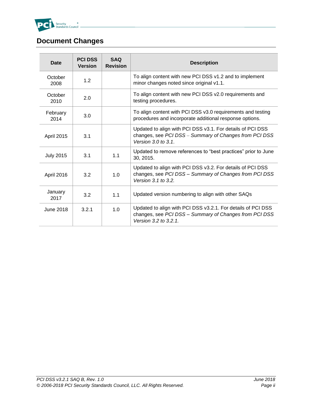

## <span id="page-1-0"></span>**Document Changes**

| Date              | <b>PCI DSS</b><br><b>Version</b> | <b>SAQ</b><br><b>Revision</b> | <b>Description</b>                                                                                                                              |
|-------------------|----------------------------------|-------------------------------|-------------------------------------------------------------------------------------------------------------------------------------------------|
| October<br>2008   | 1.2                              |                               | To align content with new PCI DSS v1.2 and to implement<br>minor changes noted since original v1.1.                                             |
| October<br>2010   | 2.0                              |                               | To align content with new PCI DSS v2.0 requirements and<br>testing procedures.                                                                  |
| February<br>2014  | 3.0                              |                               | To align content with PCI DSS v3.0 requirements and testing<br>procedures and incorporate additional response options.                          |
| <b>April 2015</b> | 3.1                              |                               | Updated to align with PCI DSS v3.1. For details of PCI DSS<br>changes, see PCI DSS - Summary of Changes from PCI DSS<br>Version 3.0 to 3.1.     |
| <b>July 2015</b>  | 3.1                              | 1.1                           | Updated to remove references to "best practices" prior to June<br>30, 2015.                                                                     |
| April 2016        | 3.2                              | 1.0                           | Updated to align with PCI DSS v3.2. For details of PCI DSS<br>changes, see PCI DSS - Summary of Changes from PCI DSS<br>Version 3.1 to 3.2.     |
| January<br>2017   | 3.2                              | 1.1                           | Updated version numbering to align with other SAQs                                                                                              |
| June 2018         | 3.2.1                            | 1.0                           | Updated to align with PCI DSS v3.2.1. For details of PCI DSS<br>changes, see PCI DSS - Summary of Changes from PCI DSS<br>Version 3.2 to 3.2.1. |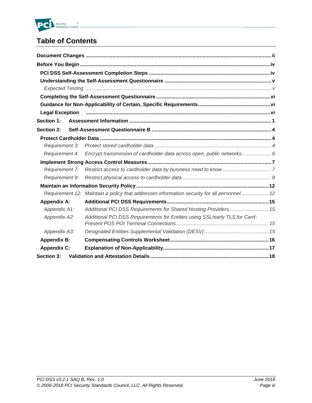

## **Table of Contents**

| Section 1:         |                                                                                             |  |
|--------------------|---------------------------------------------------------------------------------------------|--|
| Section 2:         |                                                                                             |  |
|                    |                                                                                             |  |
|                    |                                                                                             |  |
| Requirement 4:     | Encrypt transmission of cardholder data across open, public networks 6                      |  |
|                    |                                                                                             |  |
| Requirement 7:     |                                                                                             |  |
| Requirement 9:     |                                                                                             |  |
|                    |                                                                                             |  |
|                    | Requirement 12: Maintain a policy that addresses information security for all personnel  12 |  |
| <b>Appendix A:</b> |                                                                                             |  |
| Appendix A1:       | Additional PCI DSS Requirements for Shared Hosting Providers 15                             |  |
| Appendix A2:       | Additional PCI DSS Requirements for Entities using SSL/early TLS for Card-                  |  |
| Appendix A3:       |                                                                                             |  |
| <b>Appendix B:</b> |                                                                                             |  |
| <b>Appendix C:</b> |                                                                                             |  |
|                    |                                                                                             |  |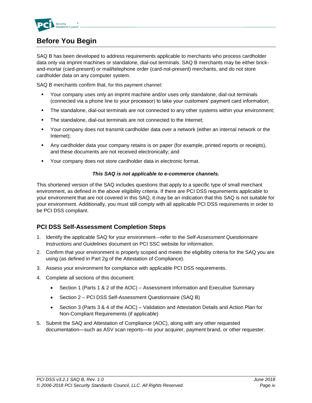

## <span id="page-3-0"></span>**Before You Begin**

SAQ B has been developed to address requirements applicable to merchants who process cardholder data only via imprint machines or standalone, dial-out terminals. SAQ B merchants may be either brickand-mortar (card-present) or mail/telephone order (card-not-present) merchants, and do not store cardholder data on any computer system.

SAQ B merchants confirm that, for this payment channel:

- Your company uses only an imprint machine and/or uses only standalone, dial-out terminals (connected via a phone line to your processor) to take your customers' payment card information;
- The standalone, dial-out terminals are not connected to any other systems within your environment;
- The standalone, dial-out terminals are not connected to the Internet;
- Your company does not transmit cardholder data over a network (either an internal network or the Internet);
- Any cardholder data your company retains is on paper (for example, printed reports or receipts), and these documents are not received electronically; and
- Your company does not store cardholder data in electronic format.

#### *This SAQ is not applicable to e-commerce channels.*

This shortened version of the SAQ includes questions that apply to a specific type of small merchant environment, as defined in the above eligibility criteria. If there are PCI DSS requirements applicable to your environment that are not covered in this SAQ, it may be an indication that this SAQ is not suitable for your environment. Additionally, you must still comply with all applicable PCI DSS requirements in order to be PCI DSS compliant.

## <span id="page-3-1"></span>**PCI DSS Self-Assessment Completion Steps**

- 1. Identify the applicable SAQ for your environment—refer to the *Self-Assessment Questionnaire Instructions and Guidelines* document on PCI SSC website for information.
- 2. Confirm that your environment is properly scoped and meets the eligibility criteria for the SAQ you are using (as defined in Part 2g of the Attestation of Compliance).
- 3. Assess your environment for compliance with applicable PCI DSS requirements.
- 4. Complete all sections of this document:
	- Section 1 (Parts 1 & 2 of the AOC) Assessment Information and Executive Summary
	- Section 2 PCI DSS Self-Assessment Questionnaire (SAQ B)
	- Section 3 (Parts 3 & 4 of the AOC) Validation and Attestation Details and Action Plan for Non-Compliant Requirements (if applicable)
- 5. Submit the SAQ and Attestation of Compliance (AOC), along with any other requested documentation—such as ASV scan reports—to your acquirer, payment brand, or other requester.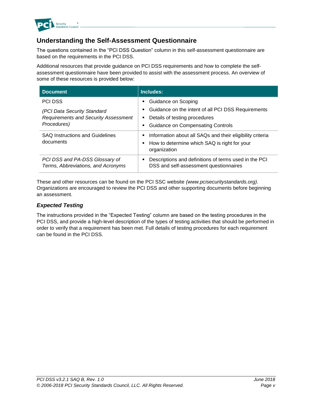

## <span id="page-4-0"></span>**Understanding the Self-Assessment Questionnaire**

The questions contained in the "PCI DSS Question" column in this self-assessment questionnaire are based on the requirements in the PCI DSS.

Additional resources that provide guidance on PCI DSS requirements and how to complete the selfassessment questionnaire have been provided to assist with the assessment process. An overview of some of these resources is provided below:

| <b>Document</b>                                                      | Includes:                                                                                            |
|----------------------------------------------------------------------|------------------------------------------------------------------------------------------------------|
| <b>PCI DSS</b>                                                       | Guidance on Scoping<br>٠                                                                             |
| (PCI Data Security Standard                                          | Guidance on the intent of all PCI DSS Requirements<br>$\blacksquare$                                 |
| <b>Requirements and Security Assessment</b>                          | Details of testing procedures<br>٠                                                                   |
| Procedures)                                                          | Guidance on Compensating Controls<br>٠                                                               |
| <b>SAQ Instructions and Guidelines</b>                               | Information about all SAQs and their eligibility criteria<br>٠                                       |
| documents                                                            | How to determine which SAQ is right for your<br>٠<br>organization                                    |
| PCI DSS and PA-DSS Glossary of<br>Terms, Abbreviations, and Acronyms | Descriptions and definitions of terms used in the PCI<br>٠<br>DSS and self-assessment questionnaires |

These and other resources can be found on the PCI SSC website *[\(www.pcisecuritystandards.org\)](http://www.pcisecuritystandards.org/)*. Organizations are encouraged to review the PCI DSS and other supporting documents before beginning an assessment.

### <span id="page-4-1"></span>*Expected Testing*

The instructions provided in the "Expected Testing" column are based on the testing procedures in the PCI DSS, and provide a high-level description of the types of testing activities that should be performed in order to verify that a requirement has been met. Full details of testing procedures for each requirement can be found in the PCI DSS.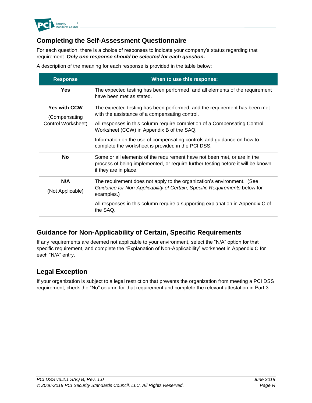

## <span id="page-5-0"></span>**Completing the Self-Assessment Questionnaire**

For each question, there is a choice of responses to indicate your company's status regarding that requirement. *Only one response should be selected for each question.*

A description of the meaning for each response is provided in the table below:

| <b>Response</b>                      | When to use this response:                                                                                                                                                            |
|--------------------------------------|---------------------------------------------------------------------------------------------------------------------------------------------------------------------------------------|
| Yes                                  | The expected testing has been performed, and all elements of the requirement<br>have been met as stated.                                                                              |
| <b>Yes with CCW</b><br>(Compensating | The expected testing has been performed, and the requirement has been met<br>with the assistance of a compensating control.                                                           |
| Control Worksheet)                   | All responses in this column require completion of a Compensating Control<br>Worksheet (CCW) in Appendix B of the SAQ.                                                                |
|                                      | Information on the use of compensating controls and guidance on how to<br>complete the worksheet is provided in the PCI DSS.                                                          |
| <b>No</b>                            | Some or all elements of the requirement have not been met, or are in the<br>process of being implemented, or require further testing before it will be known<br>if they are in place. |
| N/A                                  | The requirement does not apply to the organization's environment. (See                                                                                                                |
| (Not Applicable)                     | Guidance for Non-Applicability of Certain, Specific Requirements below for<br>examples.)                                                                                              |
|                                      | All responses in this column require a supporting explanation in Appendix C of<br>the SAQ.                                                                                            |

## <span id="page-5-1"></span>**Guidance for Non-Applicability of Certain, Specific Requirements**

If any requirements are deemed not applicable to your environment, select the "N/A" option for that specific requirement, and complete the "Explanation of Non-Applicability" worksheet in Appendix C for each "N/A" entry.

## <span id="page-5-2"></span>**Legal Exception**

If your organization is subject to a legal restriction that prevents the organization from meeting a PCI DSS requirement, check the "No" column for that requirement and complete the relevant attestation in Part 3.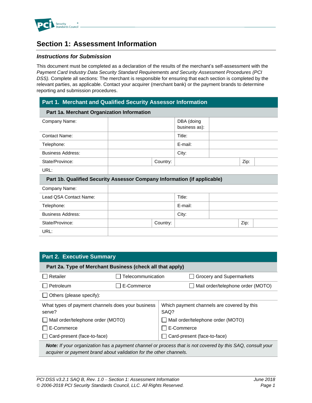

## <span id="page-6-0"></span>**Section 1: Assessment Information**

#### *Instructions for Submission*

This document must be completed as a declaration of the results of the merchant's self-assessment with the *Payment Card Industry Data Security Standard Requirements and Security Assessment Procedures (PCI DSS).* Complete all sections: The merchant is responsible for ensuring that each section is completed by the relevant parties, as applicable. Contact your acquirer (merchant bank) or the payment brands to determine reporting and submission procedures.

#### **Part 1. Merchant and Qualified Security Assessor Information**

| Part 1a. Merchant Organization Information                               |  |          |               |  |      |  |
|--------------------------------------------------------------------------|--|----------|---------------|--|------|--|
| Company Name:                                                            |  |          | DBA (doing    |  |      |  |
|                                                                          |  |          | business as): |  |      |  |
| <b>Contact Name:</b>                                                     |  |          | Title:        |  |      |  |
| Telephone:                                                               |  |          | E-mail:       |  |      |  |
| <b>Business Address:</b>                                                 |  |          | City:         |  |      |  |
| State/Province:                                                          |  | Country: |               |  | Zip: |  |
| URL:                                                                     |  |          |               |  |      |  |
| Part 1b. Qualified Security Assessor Company Information (if applicable) |  |          |               |  |      |  |
| Company Name:                                                            |  |          |               |  |      |  |
| Lead QSA Contact Name:                                                   |  |          | Title:        |  |      |  |
| Telephone:                                                               |  |          | E-mail:       |  |      |  |
| <b>Business Address:</b>                                                 |  |          | City:         |  |      |  |

|                 |          | . . |      |  |
|-----------------|----------|-----|------|--|
| State/Province: | Country: |     | Zip: |  |
| URL:            |          |     |      |  |
|                 |          |     |      |  |
|                 |          |     |      |  |
|                 |          |     |      |  |

| <b>Part 2. Executive Summary</b>                                                                                                                                                |                   |                                                    |  |  |
|---------------------------------------------------------------------------------------------------------------------------------------------------------------------------------|-------------------|----------------------------------------------------|--|--|
| Part 2a. Type of Merchant Business (check all that apply)                                                                                                                       |                   |                                                    |  |  |
| Retailer                                                                                                                                                                        | Telecommunication | Grocery and Supermarkets                           |  |  |
| Petroleum                                                                                                                                                                       | E-Commerce        | Mail order/telephone order (MOTO)<br>$\mathsf{L}$  |  |  |
| Others (please specify):                                                                                                                                                        |                   |                                                    |  |  |
| What types of payment channels does your business<br>serve?                                                                                                                     |                   | Which payment channels are covered by this<br>SAQ? |  |  |
| Mail order/telephone order (MOTO)                                                                                                                                               |                   | Mail order/telephone order (MOTO)                  |  |  |
| E-Commerce                                                                                                                                                                      |                   | $\Box$ E-Commerce                                  |  |  |
| Card-present (face-to-face)<br>$\perp$                                                                                                                                          |                   | Card-present (face-to-face)                        |  |  |
| Note: If your organization has a payment channel or process that is not covered by this SAQ, consult your<br>acquirer or payment brand about validation for the other channels. |                   |                                                    |  |  |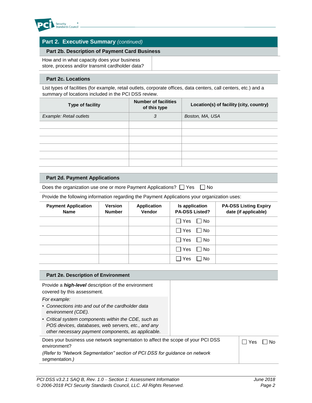

### **Part 2. Executive Summary** *(continued)*

#### **Part 2b. Description of Payment Card Business**

How and in what capacity does your business store, process and/or transmit cardholder data?

#### **Part 2c. Locations**

List types of facilities (for example, retail outlets, corporate offices, data centers, call centers, etc.) and a summary of locations included in the PCI DSS review.

| Type of facility        | <b>Number of facilities</b><br>of this type | Location(s) of facility (city, country) |
|-------------------------|---------------------------------------------|-----------------------------------------|
| Example: Retail outlets | 3                                           | Boston, MA, USA                         |
|                         |                                             |                                         |
|                         |                                             |                                         |
|                         |                                             |                                         |
|                         |                                             |                                         |
|                         |                                             |                                         |
|                         |                                             |                                         |

#### **Part 2d. Payment Applications**

Does the organization use one or more Payment Applications?  $\Box$  Yes  $\Box$  No

Provide the following information regarding the Payment Applications your organization uses:

| <b>Payment Application</b><br><b>Name</b> | <b>Version</b><br><b>Number</b> | <b>Application</b><br>Vendor | Is application<br><b>PA-DSS Listed?</b> | <b>PA-DSS Listing Expiry</b><br>date (if applicable) |
|-------------------------------------------|---------------------------------|------------------------------|-----------------------------------------|------------------------------------------------------|
|                                           |                                 |                              | $\Box$ Yes<br>$\Box$ No                 |                                                      |
|                                           |                                 |                              | l l Yes<br>l No                         |                                                      |
|                                           |                                 |                              | $\Box$ Yes<br>$\Box$ No                 |                                                      |
|                                           |                                 |                              | $\Box$ Yes<br>$\blacksquare$ No         |                                                      |
|                                           |                                 |                              | $\Box$ Yes<br>1 No                      |                                                      |

| Part 2e. Description of Environment                                                                                                                                                                   |       |    |
|-------------------------------------------------------------------------------------------------------------------------------------------------------------------------------------------------------|-------|----|
| Provide a <i>high-level</i> description of the environment<br>covered by this assessment.                                                                                                             |       |    |
| For example:<br>• Connections into and out of the cardholder data<br>environment (CDE).<br>• Critical system components within the CDE, such as<br>POS devices, databases, web servers, etc., and any |       |    |
| other necessary payment components, as applicable.                                                                                                                                                    |       |    |
| Does your business use network segmentation to affect the scope of your PCI DSS<br>environment?                                                                                                       | i Yes | N٥ |
| (Refer to "Network Segmentation" section of PCI DSS for guidance on network<br>segmentation.)                                                                                                         |       |    |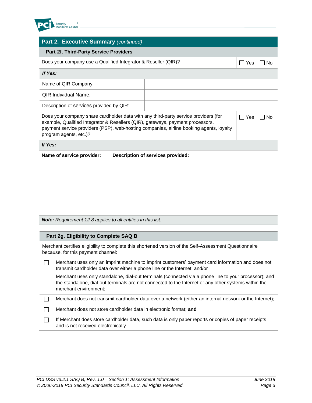

## **Part 2. Executive Summary** *(continued)*

#### **Part 2f. Third-Party Service Providers**

| Does your company use a Qualified Integrator & Reseller (QIR)? |  |  | _l No |
|----------------------------------------------------------------|--|--|-------|
| If Yes:                                                        |  |  |       |
| Name of QIR Company:                                           |  |  |       |
| <b>QIR Individual Name:</b>                                    |  |  |       |
| Description of services provided by QIR:                       |  |  |       |
|                                                                |  |  |       |

Does your company share cardholder data with any third-party service providers (for example, Qualified Integrator & Resellers (QIR), gateways, payment processors, payment service providers (PSP), web-hosting companies, airline booking agents, loyalty program agents, etc.)?

 $\Box$  Yes  $\Box$  No

### *If Yes:*

| Name of service provider:                                                                                                                                                                                                                                                                                  | Description of services provided: |  |
|------------------------------------------------------------------------------------------------------------------------------------------------------------------------------------------------------------------------------------------------------------------------------------------------------------|-----------------------------------|--|
|                                                                                                                                                                                                                                                                                                            |                                   |  |
|                                                                                                                                                                                                                                                                                                            |                                   |  |
|                                                                                                                                                                                                                                                                                                            |                                   |  |
|                                                                                                                                                                                                                                                                                                            |                                   |  |
|                                                                                                                                                                                                                                                                                                            |                                   |  |
|                                                                                                                                                                                                                                                                                                            |                                   |  |
| $\mathbf{M}$ as $\mathbf{M}$ as $\mathbf{M}$ as $\mathbf{M}$ as $\mathbf{M}$ as $\mathbf{M}$ as $\mathbf{M}$ as $\mathbf{M}$ as $\mathbf{M}$ as $\mathbf{M}$ as $\mathbf{M}$ as $\mathbf{M}$ as $\mathbf{M}$ as $\mathbf{M}$ as $\mathbf{M}$ as $\mathbf{M}$ as $\mathbf{M}$ as $\mathbf{M}$ as $\mathbf{$ |                                   |  |

*Note: Requirement 12.8 applies to all entities in this list.*

#### **Part 2g. Eligibility to Complete SAQ B**

Merchant certifies eligibility to complete this shortened version of the Self-Assessment Questionnaire because, for this payment channel:

| Merchant uses only an imprint machine to imprint customers' payment card information and does not<br>transmit cardholder data over either a phone line or the Internet; and/or                                                         |
|----------------------------------------------------------------------------------------------------------------------------------------------------------------------------------------------------------------------------------------|
| Merchant uses only standalone, dial-out terminals (connected via a phone line to your processor); and<br>the standalone, dial-out terminals are not connected to the Internet or any other systems within the<br>merchant environment; |
| Merchant does not transmit cardholder data over a network (either an internal network or the Internet);                                                                                                                                |
| Merchant does not store cardholder data in electronic format: and                                                                                                                                                                      |
| If Merchant does store cardholder data, such data is only paper reports or copies of paper receipts<br>and is not received electronically.                                                                                             |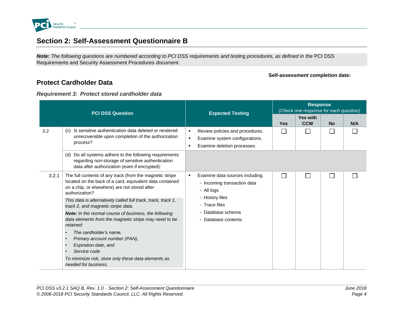

## **Section 2: Self-Assessment Questionnaire B**

*Note: The following questions are numbered according to PCI DSS requirements and testing procedures, as defined in the PCI DSS* Requirements and Security Assessment Procedures *document.* 

#### **Self-assessment completion date:**

## **Protect Cardholder Data**

### *Requirement 3: Protect stored cardholder data*

<span id="page-9-2"></span><span id="page-9-1"></span><span id="page-9-0"></span>

|       | <b>PCI DSS Question</b>                                                                                                                                                                                  | <b>Expected Testing</b>                                                                                                                                           | <b>Response</b><br>(Check one response for each question) |                               |           |     |
|-------|----------------------------------------------------------------------------------------------------------------------------------------------------------------------------------------------------------|-------------------------------------------------------------------------------------------------------------------------------------------------------------------|-----------------------------------------------------------|-------------------------------|-----------|-----|
|       |                                                                                                                                                                                                          |                                                                                                                                                                   | <b>Yes</b>                                                | <b>Yes with</b><br><b>CCW</b> | <b>No</b> | N/A |
| 3.2   | (c) Is sensitive authentication data deleted or rendered<br>unrecoverable upon completion of the authorization<br>process?                                                                               | Review policies and procedures.<br>٠<br>Examine system configurations.<br>$\blacksquare$<br>Examine deletion processes.<br>٠                                      | $\Box$                                                    | П                             | $\Box$    |     |
|       | (d) Do all systems adhere to the following requirements<br>regarding non-storage of sensitive authentication<br>data after authorization (even if encrypted):                                            |                                                                                                                                                                   |                                                           |                               |           |     |
| 3.2.1 | The full contents of any track (from the magnetic stripe<br>located on the back of a card, equivalent data contained<br>on a chip, or elsewhere) are not stored after<br>authorization?                  | Examine data sources including:<br>٠<br>- Incoming transaction data<br>- All logs<br>- History files<br>- Trace files<br>- Database schema<br>- Database contents | П                                                         |                               | $\Box$    |     |
|       | This data is alternatively called full track, track, track 1,<br>track 2, and magnetic-stripe data.                                                                                                      |                                                                                                                                                                   |                                                           |                               |           |     |
|       | Note: In the normal course of business, the following<br>data elements from the magnetic stripe may need to be<br>retained:                                                                              |                                                                                                                                                                   |                                                           |                               |           |     |
|       | The cardholder's name.<br>$\bullet$<br>Primary account number (PAN),<br>$\bullet$<br>Expiration date, and<br>Service code<br>To minimize risk, store only these data elements as<br>needed for business. |                                                                                                                                                                   |                                                           |                               |           |     |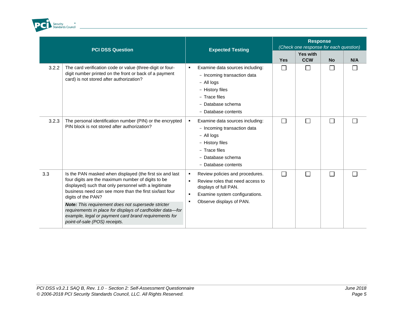

|       | <b>PCI DSS Question</b>                                                                                                                                                                                                                                                                                                                                                                                                                                               | <b>Expected Testing</b>                                                                                                                                                                     | <b>Response</b><br>(Check one response for each question) |                        |                          |     |
|-------|-----------------------------------------------------------------------------------------------------------------------------------------------------------------------------------------------------------------------------------------------------------------------------------------------------------------------------------------------------------------------------------------------------------------------------------------------------------------------|---------------------------------------------------------------------------------------------------------------------------------------------------------------------------------------------|-----------------------------------------------------------|------------------------|--------------------------|-----|
|       |                                                                                                                                                                                                                                                                                                                                                                                                                                                                       |                                                                                                                                                                                             | <b>Yes</b>                                                | Yes with<br><b>CCW</b> | <b>No</b>                | N/A |
| 3.2.2 | The card verification code or value (three-digit or four-<br>digit number printed on the front or back of a payment<br>card) is not stored after authorization?                                                                                                                                                                                                                                                                                                       | Examine data sources including:<br>٠<br>- Incoming transaction data<br>- All logs<br>- History files<br>- Trace files<br>- Database schema<br>- Database contents                           | $\Box$                                                    |                        | $\Box$                   |     |
| 3.2.3 | The personal identification number (PIN) or the encrypted<br>PIN block is not stored after authorization?                                                                                                                                                                                                                                                                                                                                                             | Examine data sources including:<br>٠<br>- Incoming transaction data<br>- All logs<br>- History files<br>- Trace files<br>- Database schema<br>- Database contents                           | П                                                         |                        | $\overline{\phantom{0}}$ |     |
| 3.3   | Is the PAN masked when displayed (the first six and last<br>four digits are the maximum number of digits to be<br>displayed) such that only personnel with a legitimate<br>business need can see more than the first six/last four<br>digits of the PAN?<br>Note: This requirement does not supersede stricter<br>requirements in place for displays of cardholder data-for<br>example, legal or payment card brand requirements for<br>point-of-sale (POS) receipts. | Review policies and procedures.<br>٠<br>Review roles that need access to<br>$\blacksquare$<br>displays of full PAN.<br>Examine system configurations.<br>٠<br>Observe displays of PAN.<br>٠ | П                                                         |                        |                          |     |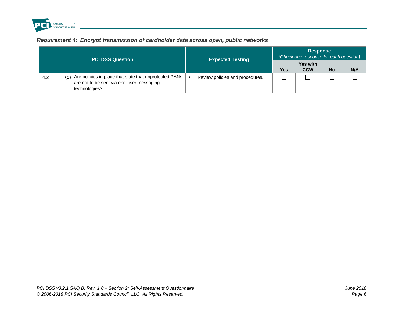

## *Requirement 4: Encrypt transmission of cardholder data across open, public networks*

<span id="page-11-0"></span>

| <b>PCI DSS Question</b> |                                                                                                                             | <b>Expected Testing</b>                           |            | <b>Response</b><br>(Check one response for each question) |  |  |  |
|-------------------------|-----------------------------------------------------------------------------------------------------------------------------|---------------------------------------------------|------------|-----------------------------------------------------------|--|--|--|
|                         |                                                                                                                             |                                                   | <b>Yes</b> | <b>Yes with</b><br><b>CCW</b><br><b>No</b><br>N/A         |  |  |  |
| 4.2                     | Are policies in place that state that unprotected PANs<br>(b)<br>are not to be sent via end-user messaging<br>technologies? | Review policies and procedures.<br>$\blacksquare$ |            |                                                           |  |  |  |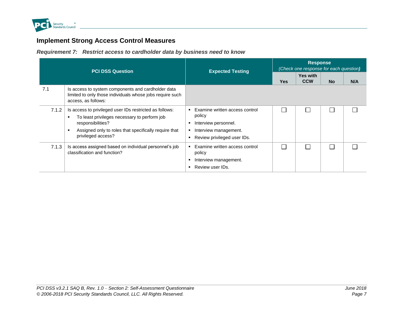

## **Implement Strong Access Control Measures**

*Requirement 7: Restrict access to cardholder data by business need to know*

<span id="page-12-1"></span><span id="page-12-0"></span>

|       | <b>PCI DSS Question</b>                                                                                                                                                                                     | <b>Expected Testing</b>                                                                                                  | <b>Response</b><br>(Check one response for each question) |                               |           |     |
|-------|-------------------------------------------------------------------------------------------------------------------------------------------------------------------------------------------------------------|--------------------------------------------------------------------------------------------------------------------------|-----------------------------------------------------------|-------------------------------|-----------|-----|
|       |                                                                                                                                                                                                             |                                                                                                                          | <b>Yes</b>                                                | <b>Yes with</b><br><b>CCW</b> | <b>No</b> | N/A |
| 7.1   | Is access to system components and cardholder data<br>limited to only those individuals whose jobs require such<br>access, as follows:                                                                      |                                                                                                                          |                                                           |                               |           |     |
| 7.1.2 | Is access to privileged user IDs restricted as follows:<br>To least privileges necessary to perform job<br>responsibilities?<br>Assigned only to roles that specifically require that<br>privileged access? | Examine written access control<br>policy<br>Interview personnel.<br>Interview management.<br>Review privileged user IDs. |                                                           |                               |           |     |
| 7.1.3 | Is access assigned based on individual personnel's job<br>classification and function?                                                                                                                      | Examine written access control<br>$\blacksquare$<br>policy<br>Interview management.<br>Review user IDs.                  |                                                           |                               |           |     |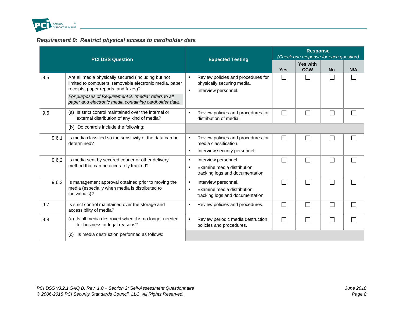

| Requirement 9: Restrict physical access to cardholder data |  |  |  |
|------------------------------------------------------------|--|--|--|
|                                                            |  |  |  |

<span id="page-13-0"></span>

|       | <b>PCI DSS Question</b>                                                                                                                                                                                                                                                  | <b>Expected Testing</b>                                                                                                    |                          | <b>Response</b><br>(Check one response for each question) |           |     |  |
|-------|--------------------------------------------------------------------------------------------------------------------------------------------------------------------------------------------------------------------------------------------------------------------------|----------------------------------------------------------------------------------------------------------------------------|--------------------------|-----------------------------------------------------------|-----------|-----|--|
|       |                                                                                                                                                                                                                                                                          |                                                                                                                            | <b>Yes</b>               | Yes with<br><b>CCW</b>                                    | <b>No</b> | N/A |  |
| 9.5   | Are all media physically secured (including but not<br>limited to computers, removable electronic media, paper<br>receipts, paper reports, and faxes)?<br>For purposes of Requirement 9, "media" refers to all<br>paper and electronic media containing cardholder data. | Review policies and procedures for<br>$\blacksquare$<br>physically securing media.<br>Interview personnel.<br>٠            | П                        | $\Box$                                                    |           |     |  |
| 9.6   | (a) Is strict control maintained over the internal or<br>external distribution of any kind of media?                                                                                                                                                                     | Review policies and procedures for<br>$\blacksquare$<br>distribution of media.                                             | $\Box$                   | $\mathcal{L}_{\mathcal{A}}$                               |           |     |  |
|       | (b) Do controls include the following:                                                                                                                                                                                                                                   |                                                                                                                            |                          |                                                           |           |     |  |
| 9.6.1 | Is media classified so the sensitivity of the data can be<br>determined?                                                                                                                                                                                                 | Review policies and procedures for<br>п<br>media classification.<br>Interview security personnel.<br>$\blacksquare$        | $\sim$                   |                                                           |           |     |  |
| 9.6.2 | Is media sent by secured courier or other delivery<br>method that can be accurately tracked?                                                                                                                                                                             | Interview personnel.<br>$\blacksquare$<br>Examine media distribution<br>$\blacksquare$<br>tracking logs and documentation. | $\overline{\phantom{a}}$ | $\Box$                                                    |           |     |  |
| 9.6.3 | Is management approval obtained prior to moving the<br>media (especially when media is distributed to<br>individuals)?                                                                                                                                                   | Interview personnel.<br>٠<br>Examine media distribution<br>Б<br>tracking logs and documentation.                           | П                        | Г                                                         | $\sim$    |     |  |
| 9.7   | Is strict control maintained over the storage and<br>accessibility of media?                                                                                                                                                                                             | Review policies and procedures.<br>$\blacksquare$                                                                          | $\Box$                   | $\Box$                                                    | L.        |     |  |
| 9.8   | (a) Is all media destroyed when it is no longer needed<br>for business or legal reasons?                                                                                                                                                                                 | Review periodic media destruction<br>٠<br>policies and procedures.                                                         | $\Box$                   | ┌                                                         | $\sim$    |     |  |
|       | Is media destruction performed as follows:<br>(c)                                                                                                                                                                                                                        |                                                                                                                            |                          |                                                           |           |     |  |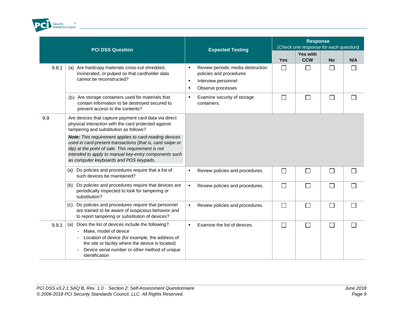

|       | <b>PCI DSS Question</b>                                                                                                                                                                                                                                                                                                                                                                                                                 | <b>Expected Testing</b>                                                                                                               | <b>Response</b><br>(Check one response for each question) |                               |                             |        |
|-------|-----------------------------------------------------------------------------------------------------------------------------------------------------------------------------------------------------------------------------------------------------------------------------------------------------------------------------------------------------------------------------------------------------------------------------------------|---------------------------------------------------------------------------------------------------------------------------------------|-----------------------------------------------------------|-------------------------------|-----------------------------|--------|
|       |                                                                                                                                                                                                                                                                                                                                                                                                                                         |                                                                                                                                       | <b>Yes</b>                                                | <b>Yes with</b><br><b>CCW</b> | <b>No</b>                   | N/A    |
| 9.8.1 | (a) Are hardcopy materials cross-cut shredded,<br>incinerated, or pulped so that cardholder data<br>cannot be reconstructed?                                                                                                                                                                                                                                                                                                            | Review periodic media destruction<br>$\blacksquare$<br>policies and procedures<br>Interview personnel<br>л.<br>Observe processes<br>٠ | $\Box$                                                    | $\Box$                        | $\Box$                      | П      |
|       | (b) Are storage containers used for materials that<br>contain information to be destroyed secured to<br>prevent access to the contents?                                                                                                                                                                                                                                                                                                 | Examine security of storage<br>л.<br>containers.                                                                                      | $\Box$                                                    | $\Box$                        | $\mathcal{L}_{\mathcal{A}}$ |        |
| 9.9   | Are devices that capture payment card data via direct<br>physical interaction with the card protected against<br>tampering and substitution as follows?<br>Note: This requirement applies to card-reading devices<br>used in card-present transactions (that is, card swipe or<br>dip) at the point of sale. This requirement is not<br>intended to apply to manual key-entry components such<br>as computer keyboards and POS keypads. |                                                                                                                                       |                                                           |                               |                             |        |
|       | Do policies and procedures require that a list of<br>(a)<br>such devices be maintained?                                                                                                                                                                                                                                                                                                                                                 | Review policies and procedures.<br>٠                                                                                                  | $\Box$                                                    | $\Box$                        | $\Box$                      | M      |
|       | (b) Do policies and procedures require that devices are<br>periodically inspected to look for tampering or<br>substitution?                                                                                                                                                                                                                                                                                                             | Review policies and procedures.<br>$\blacksquare$                                                                                     | $\Box$                                                    | $\Box$                        | $\Box$                      |        |
|       | Do policies and procedures require that personnel<br>(c)<br>are trained to be aware of suspicious behavior and<br>to report tampering or substitution of devices?                                                                                                                                                                                                                                                                       | Review policies and procedures.<br>$\blacksquare$                                                                                     | $\Box$                                                    | $\Box$                        |                             |        |
| 9.9.1 | Does the list of devices include the following?<br>(a)<br>- Make, model of device<br>Location of device (for example, the address of<br>the site or facility where the device is located)<br>Device serial number or other method of unique<br>identification                                                                                                                                                                           | Examine the list of devices.<br>$\blacksquare$                                                                                        | $\Box$                                                    | $\Box$                        | $\Box$                      | $\Box$ |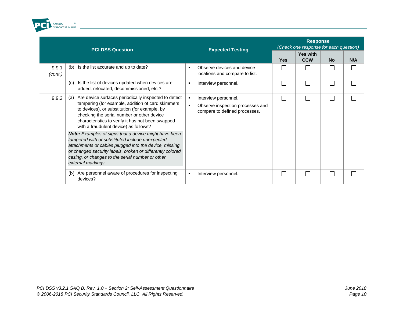

|                  | <b>PCI DSS Question</b>                                                                                                                                                                                                                                                                                       | <b>Expected Testing</b>                                                                                           | <b>Response</b><br>(Check one response for each question) |                        |                 |     |
|------------------|---------------------------------------------------------------------------------------------------------------------------------------------------------------------------------------------------------------------------------------------------------------------------------------------------------------|-------------------------------------------------------------------------------------------------------------------|-----------------------------------------------------------|------------------------|-----------------|-----|
|                  |                                                                                                                                                                                                                                                                                                               |                                                                                                                   | <b>Yes</b>                                                | Yes with<br><b>CCW</b> | <b>No</b>       | N/A |
| 9.9.1<br>(cont.) | Is the list accurate and up to date?<br>(b)                                                                                                                                                                                                                                                                   | Observe devices and device<br>$\blacksquare$<br>locations and compare to list.                                    |                                                           |                        |                 |     |
|                  | Is the list of devices updated when devices are<br>(c)<br>added, relocated, decommissioned, etc.?                                                                                                                                                                                                             | Interview personnel.<br>л.                                                                                        |                                                           | П                      |                 |     |
| 9.9.2            | Are device surfaces periodically inspected to detect<br>(a)<br>tampering (for example, addition of card skimmers<br>to devices), or substitution (for example, by<br>checking the serial number or other device<br>characteristics to verify it has not been swapped<br>with a fraudulent device) as follows? | Interview personnel.<br>$\blacksquare$<br>Observe inspection processes and<br>л.<br>compare to defined processes. | $\mathcal{L}$                                             | $\Box$                 | <b>Contract</b> |     |
|                  | Note: Examples of signs that a device might have been<br>tampered with or substituted include unexpected<br>attachments or cables plugged into the device, missing<br>or changed security labels, broken or differently colored<br>casing, or changes to the serial number or other<br>external markings.     |                                                                                                                   |                                                           |                        |                 |     |
|                  | Are personnel aware of procedures for inspecting<br>(b)<br>devices?                                                                                                                                                                                                                                           | Interview personnel.<br>л.                                                                                        |                                                           | L                      |                 |     |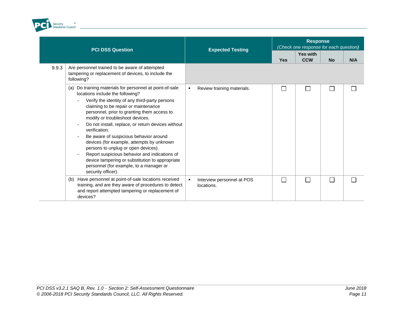

L.

|       | <b>PCI DSS Question</b>                                                                                                                                                                                                                                                                                                                                                                                                                                                                                                                            |    | <b>Expected Testing</b>                  | <b>Response</b><br>(Check one response for each question) |                        |           |     |
|-------|----------------------------------------------------------------------------------------------------------------------------------------------------------------------------------------------------------------------------------------------------------------------------------------------------------------------------------------------------------------------------------------------------------------------------------------------------------------------------------------------------------------------------------------------------|----|------------------------------------------|-----------------------------------------------------------|------------------------|-----------|-----|
|       |                                                                                                                                                                                                                                                                                                                                                                                                                                                                                                                                                    |    |                                          | <b>Yes</b>                                                | Yes with<br><b>CCW</b> | <b>No</b> | N/A |
| 9.9.3 | Are personnel trained to be aware of attempted<br>tampering or replacement of devices, to include the<br>following?                                                                                                                                                                                                                                                                                                                                                                                                                                |    |                                          |                                                           |                        |           |     |
|       | Do training materials for personnel at point-of-sale<br>(a)<br>locations include the following?                                                                                                                                                                                                                                                                                                                                                                                                                                                    |    | Review training materials.               | $\mathbf{I}$                                              |                        |           |     |
|       | Verify the identity of any third-party persons<br>claiming to be repair or maintenance<br>personnel, prior to granting them access to<br>modify or troubleshoot devices.<br>Do not install, replace, or return devices without<br>verification.<br>Be aware of suspicious behavior around<br>devices (for example, attempts by unknown<br>persons to unplug or open devices).<br>Report suspicious behavior and indications of<br>device tampering or substitution to appropriate<br>personnel (for example, to a manager or<br>security officer). |    |                                          |                                                           |                        |           |     |
|       | Have personnel at point-of-sale locations received<br>(b)<br>training, and are they aware of procedures to detect<br>and report attempted tampering or replacement of<br>devices?                                                                                                                                                                                                                                                                                                                                                                  | ٠. | Interview personnel at POS<br>locations. | П                                                         | $\Box$                 |           |     |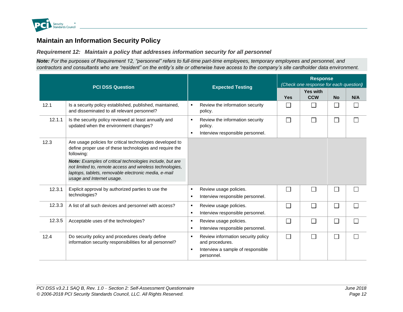

## **Maintain an Information Security Policy**

*Requirement 12: Maintain a policy that addresses information security for all personnel*

*Note: For the purposes of Requirement 12, "personnel" refers to full-time part-time employees, temporary employees and personnel, and contractors and consultants who are "resident" on the entity's site or otherwise have access to the company's site cardholder data environment.*

<span id="page-17-1"></span><span id="page-17-0"></span>

|        | <b>PCI DSS Question</b>                                                                                                                                                                                   |                      | <b>Expected Testing</b>                                                        |            | <b>Response</b><br>(Check one response for each question) |           |     |  |
|--------|-----------------------------------------------------------------------------------------------------------------------------------------------------------------------------------------------------------|----------------------|--------------------------------------------------------------------------------|------------|-----------------------------------------------------------|-----------|-----|--|
|        |                                                                                                                                                                                                           |                      |                                                                                | <b>Yes</b> | <b>Yes with</b><br><b>CCW</b>                             | <b>No</b> | N/A |  |
| 12.1   | Is a security policy established, published, maintained,<br>and disseminated to all relevant personnel?                                                                                                   | л.                   | Review the information security<br>policy.                                     |            | П                                                         | $\Box$    |     |  |
| 12.1.1 | Is the security policy reviewed at least annually and<br>updated when the environment changes?                                                                                                            | $\blacksquare$       | Review the information security<br>policy.<br>Interview responsible personnel. |            | $\Box$                                                    | $\Box$    |     |  |
| 12.3   | Are usage policies for critical technologies developed to<br>define proper use of these technologies and require the<br>following:                                                                        |                      |                                                                                |            |                                                           |           |     |  |
|        | Note: Examples of critical technologies include, but are<br>not limited to, remote access and wireless technologies,<br>laptops, tablets, removable electronic media, e-mail<br>usage and Internet usage. |                      |                                                                                |            |                                                           |           |     |  |
| 12.3.1 | Explicit approval by authorized parties to use the<br>technologies?                                                                                                                                       | $\blacksquare$       | Review usage policies.<br>Interview responsible personnel.                     |            | $\Box$                                                    | $\Box$    |     |  |
| 12.3.3 | A list of all such devices and personnel with access?                                                                                                                                                     | л.<br>$\blacksquare$ | Review usage policies.<br>Interview responsible personnel.                     |            | ┌                                                         | $\Box$    |     |  |
| 12.3.5 | Acceptable uses of the technologies?                                                                                                                                                                      | $\blacksquare$       | Review usage policies.<br>Interview responsible personnel.                     |            | $\Box$                                                    | $\Box$    |     |  |
| 12.4   | Do security policy and procedures clearly define<br>information security responsibilities for all personnel?                                                                                              |                      | Review information security policy<br>and procedures.                          |            | $\Box$                                                    | $\Box$    |     |  |
|        |                                                                                                                                                                                                           |                      | Interview a sample of responsible<br>personnel.                                |            |                                                           |           |     |  |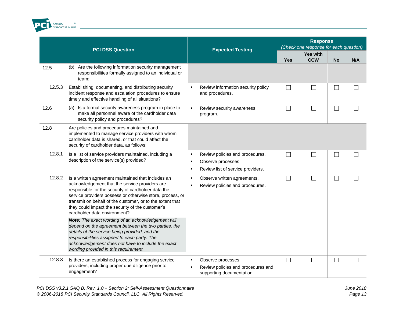

|        | <b>PCI DSS Question</b>                                                                                                                                                                                                                                                                                                                                                   | <b>Expected Testing</b>                            |                                                                                            | <b>Response</b><br>(Check one response for each question) |                          |           |     |
|--------|---------------------------------------------------------------------------------------------------------------------------------------------------------------------------------------------------------------------------------------------------------------------------------------------------------------------------------------------------------------------------|----------------------------------------------------|--------------------------------------------------------------------------------------------|-----------------------------------------------------------|--------------------------|-----------|-----|
|        |                                                                                                                                                                                                                                                                                                                                                                           |                                                    |                                                                                            | <b>Yes</b>                                                | Yes with<br><b>CCW</b>   | <b>No</b> | N/A |
| 12.5   | (b) Are the following information security management<br>responsibilities formally assigned to an individual or<br>team:                                                                                                                                                                                                                                                  |                                                    |                                                                                            |                                                           |                          |           |     |
| 12.5.3 | Establishing, documenting, and distributing security<br>incident response and escalation procedures to ensure<br>timely and effective handling of all situations?                                                                                                                                                                                                         | $\blacksquare$                                     | Review information security policy<br>and procedures.                                      | $\Box$                                                    | $\overline{\phantom{0}}$ | $\Box$    |     |
| 12.6   | (a) Is a formal security awareness program in place to<br>make all personnel aware of the cardholder data<br>security policy and procedures?                                                                                                                                                                                                                              | $\blacksquare$                                     | Review security awareness<br>program.                                                      | $\Box$                                                    | П                        | $\Box$    |     |
| 12.8   | Are policies and procedures maintained and<br>implemented to manage service providers with whom<br>cardholder data is shared, or that could affect the<br>security of cardholder data, as follows:                                                                                                                                                                        |                                                    |                                                                                            |                                                           |                          |           |     |
| 12.8.1 | Is a list of service providers maintained, including a<br>description of the service(s) provided?                                                                                                                                                                                                                                                                         | $\blacksquare$<br>$\blacksquare$<br>$\blacksquare$ | Review policies and procedures.<br>Observe processes.<br>Review list of service providers. | П                                                         | П                        | $\Box$    |     |
| 12.8.2 | Is a written agreement maintained that includes an<br>acknowledgement that the service providers are<br>responsible for the security of cardholder data the<br>service providers possess or otherwise store, process, or<br>transmit on behalf of the customer, or to the extent that<br>they could impact the security of the customer's<br>cardholder data environment? | ٠                                                  | Observe written agreements.<br>Review policies and procedures.                             | $\Box$                                                    | П                        | $\Box$    |     |
|        | Note: The exact wording of an acknowledgement will<br>depend on the agreement between the two parties, the<br>details of the service being provided, and the<br>responsibilities assigned to each party. The<br>acknowledgement does not have to include the exact<br>wording provided in this requirement.                                                               |                                                    |                                                                                            |                                                           |                          |           |     |
| 12.8.3 | Is there an established process for engaging service<br>providers, including proper due diligence prior to<br>engagement?                                                                                                                                                                                                                                                 | ٠                                                  | Observe processes.<br>Review policies and procedures and<br>supporting documentation.      | $\Box$                                                    | $\Box$                   | $\Box$    |     |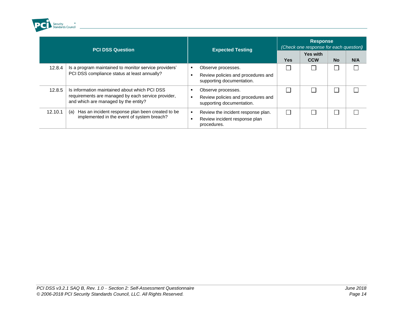

| <b>PCI DSS Question</b> |                                                                                                                                             | <b>Expected Testing</b>                                                               | <b>Response</b><br>(Check one response for each question) |                               |           |     |
|-------------------------|---------------------------------------------------------------------------------------------------------------------------------------------|---------------------------------------------------------------------------------------|-----------------------------------------------------------|-------------------------------|-----------|-----|
|                         |                                                                                                                                             |                                                                                       | <b>Yes</b>                                                | <b>Yes with</b><br><b>CCW</b> | <b>No</b> | N/A |
| 12.8.4                  | Is a program maintained to monitor service providers'<br>PCI DSS compliance status at least annually?                                       | Observe processes.<br>Review policies and procedures and<br>supporting documentation. |                                                           |                               |           |     |
| 12.8.5                  | Is information maintained about which PCI DSS<br>requirements are managed by each service provider,<br>and which are managed by the entity? | Observe processes.<br>Review policies and procedures and<br>supporting documentation. |                                                           |                               |           |     |
| 12.10.1                 | Has an incident response plan been created to be<br>(a)<br>implemented in the event of system breach?                                       | Review the incident response plan.<br>Review incident response plan<br>procedures.    |                                                           |                               |           |     |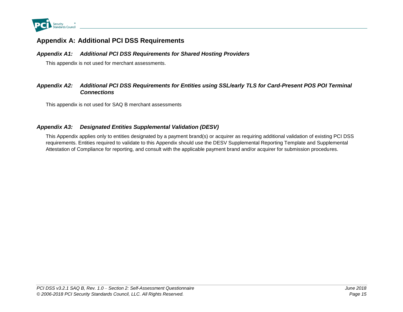

## **Appendix A: Additional PCI DSS Requirements**

### *Appendix A1: Additional PCI DSS Requirements for Shared Hosting Providers*

This appendix is not used for merchant assessments.

### *Appendix A2: Additional PCI DSS Requirements for Entities using SSL/early TLS for Card-Present POS POI Terminal Connections*

This appendix is not used for SAQ B merchant assessments

### <span id="page-20-0"></span>*Appendix A3: Designated Entities Supplemental Validation (DESV)*

<span id="page-20-3"></span><span id="page-20-2"></span><span id="page-20-1"></span>This Appendix applies only to entities designated by a payment brand(s) or acquirer as requiring additional validation of existing PCI DSS requirements. Entities required to validate to this Appendix should use the DESV Supplemental Reporting Template and Supplemental Attestation of Compliance for reporting, and consult with the applicable payment brand and/or acquirer for submission procedures.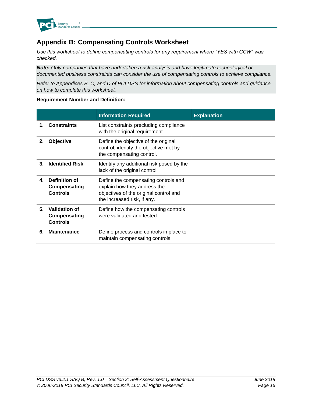

## <span id="page-21-0"></span>**Appendix B: Compensating Controls Worksheet**

*Use this worksheet to define compensating controls for any requirement where "YES with CCW" was checked.*

*Note: Only companies that have undertaken a risk analysis and have legitimate technological or documented business constraints can consider the use of compensating controls to achieve compliance.*

*Refer to Appendices B, C, and D of PCI DSS for information about compensating controls and guidance on how to complete this worksheet.*

#### **Requirement Number and Definition:**

|    |                                                  | <b>Information Required</b>                                                                                                                   | <b>Explanation</b> |
|----|--------------------------------------------------|-----------------------------------------------------------------------------------------------------------------------------------------------|--------------------|
| 1. | <b>Constraints</b>                               | List constraints precluding compliance<br>with the original requirement.                                                                      |                    |
| 2. | Objective                                        | Define the objective of the original<br>control; identify the objective met by<br>the compensating control.                                   |                    |
| З. | <b>Identified Risk</b>                           | Identify any additional risk posed by the<br>lack of the original control.                                                                    |                    |
| 4. | Definition of<br>Compensating<br><b>Controls</b> | Define the compensating controls and<br>explain how they address the<br>objectives of the original control and<br>the increased risk, if any. |                    |
| 5. | Validation of<br>Compensating<br><b>Controls</b> | Define how the compensating controls<br>were validated and tested.                                                                            |                    |
| 6. | <b>Maintenance</b>                               | Define process and controls in place to<br>maintain compensating controls.                                                                    |                    |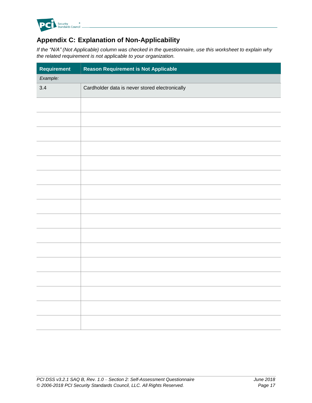

## <span id="page-22-0"></span>**Appendix C: Explanation of Non-Applicability**

*If the "N/A" (Not Applicable) column was checked in the questionnaire, use this worksheet to explain why the related requirement is not applicable to your organization.*

| Requirement | <b>Reason Requirement is Not Applicable</b>    |  |
|-------------|------------------------------------------------|--|
| Example:    |                                                |  |
| 3.4         | Cardholder data is never stored electronically |  |
|             |                                                |  |
|             |                                                |  |
|             |                                                |  |
|             |                                                |  |
|             |                                                |  |
|             |                                                |  |
|             |                                                |  |
|             |                                                |  |
|             |                                                |  |
|             |                                                |  |
|             |                                                |  |
|             |                                                |  |
|             |                                                |  |
|             |                                                |  |
|             |                                                |  |
|             |                                                |  |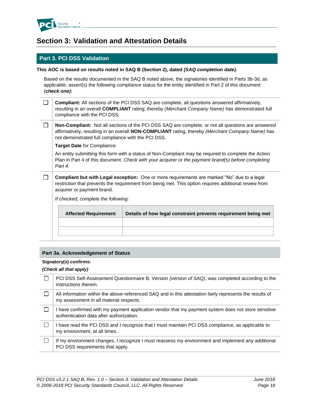

## <span id="page-23-0"></span>**Section 3: Validation and Attestation Details**

### **Part 3. PCI DSS Validation**

#### **This AOC is based on results noted in SAQ B (Section 2), dated** *(SAQ completion date).*

Based on the results documented in the SAQ B noted above, the signatories identified in Parts 3b-3d, as applicable, assert(s) the following compliance status for the entity identified in Part 2 of this document (*check one):*

| $\Box$ <b>Compliant:</b> All sections of the PCI DSS SAQ are complete, all questions answered affirmatively, |
|--------------------------------------------------------------------------------------------------------------|
| resulting in an overall COMPLIANT rating; thereby (Merchant Company Name) has demonstrated full              |
| compliance with the PCI DSS.                                                                                 |

 $\Box$ **Non-Compliant:** Not all sections of the PCI DSS SAQ are complete, or not all questions are answered affirmatively, resulting in an overall **NON-COMPLIANT** rating, thereby *(Merchant Company Name)* has not demonstrated full compliance with the PCI DSS.

**Target Date** for Compliance:

An entity submitting this form with a status of Non-Compliant may be required to complete the Action Plan in Part 4 of this document. *Check with your acquirer or the payment brand(s) before completing Part 4.*

 $\Box$ **Compliant but with Legal exception:** One or more requirements are marked "No" due to a legal restriction that prevents the requirement from being met. This option requires additional review from acquirer or payment brand.

*If checked, complete the following:*

| <b>Affected Requirement</b> | Details of how legal constraint prevents requirement being met |
|-----------------------------|----------------------------------------------------------------|
|                             |                                                                |
|                             |                                                                |
|                             |                                                                |

#### **Part 3a. Acknowledgement of Status**

#### **Signatory(s) confirms:**

#### *(Check all that apply)*

| PCI DSS Self-Assessment Questionnaire B, Version (version of SAQ), was completed according to the<br>instructions therein.                          |
|-----------------------------------------------------------------------------------------------------------------------------------------------------|
| All information within the above-referenced SAQ and in this attestation fairly represents the results of<br>my assessment in all material respects. |
| I have confirmed with my payment application vendor that my payment system does not store sensitive<br>authentication data after authorization.     |
| I have read the PCI DSS and I recognize that I must maintain PCI DSS compliance, as applicable to<br>my environment, at all times.                  |
| If my environment changes, I recognize I must reassess my environment and implement any additional<br>PCI DSS requirements that apply.              |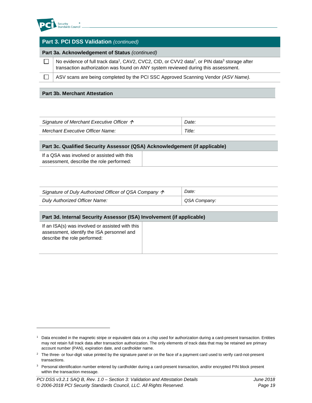

l

| <b>Part 3. PCI DSS Validation (continued)</b>  |                                                                                                                                                                                                                         |  |
|------------------------------------------------|-------------------------------------------------------------------------------------------------------------------------------------------------------------------------------------------------------------------------|--|
| Part 3a. Acknowledgement of Status (continued) |                                                                                                                                                                                                                         |  |
|                                                | No evidence of full track data <sup>1</sup> , CAV2, CVC2, CID, or CVV2 data <sup>2</sup> , or PIN data <sup>3</sup> storage after<br>transaction authorization was found on ANY system reviewed during this assessment. |  |
|                                                | ASV scans are being completed by the PCI SSC Approved Scanning Vendor (ASV Name).                                                                                                                                       |  |
|                                                |                                                                                                                                                                                                                         |  |

#### **Part 3b. Merchant Attestation**

| Signature of Merchant Executive Officer $\Lambda$ | Date.  |
|---------------------------------------------------|--------|
| Merchant Executive Officer Name:                  | Title. |

| Part 3c. Qualified Security Assessor (QSA) Acknowledgement (if applicable)              |  |  |  |
|-----------------------------------------------------------------------------------------|--|--|--|
| If a QSA was involved or assisted with this<br>assessment, describe the role performed: |  |  |  |

| Signature of Duly Authorized Officer of QSA Company $\uparrow$ | Date:        |  |
|----------------------------------------------------------------|--------------|--|
| Duly Authorized Officer Name:                                  | QSA Company: |  |

#### **Part 3d. Internal Security Assessor (ISA) Involvement (if applicable)**

| If an ISA(s) was involved or assisted with this<br>assessment, identify the ISA personnel and |
|-----------------------------------------------------------------------------------------------|
| describe the role performed:                                                                  |
|                                                                                               |

<sup>1</sup> Data encoded in the magnetic stripe or equivalent data on a chip used for authorization during a card-present transaction. Entities may not retain full track data after transaction authorization. The only elements of track data that may be retained are primary account number (PAN), expiration date, and cardholder name.

<sup>&</sup>lt;sup>2</sup> The three- or four-digit value printed by the signature panel or on the face of a payment card used to verify card-not-present transactions.

<sup>&</sup>lt;sup>3</sup> Personal identification number entered by cardholder during a card-present transaction, and/or encrypted PIN block present within the transaction message.